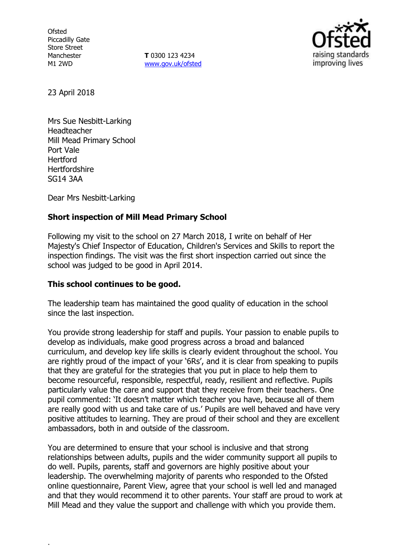**Ofsted** Piccadilly Gate Store Street Manchester M1 2WD

**T** 0300 123 4234 www.gov.uk/ofsted



23 April 2018

Mrs Sue Nesbitt-Larking Headteacher Mill Mead Primary School Port Vale **Hertford Hertfordshire** SG14 3AA

Dear Mrs Nesbitt-Larking

.

# **Short inspection of Mill Mead Primary School**

Following my visit to the school on 27 March 2018, I write on behalf of Her Majesty's Chief Inspector of Education, Children's Services and Skills to report the inspection findings. The visit was the first short inspection carried out since the school was judged to be good in April 2014.

# **This school continues to be good.**

The leadership team has maintained the good quality of education in the school since the last inspection.

You provide strong leadership for staff and pupils. Your passion to enable pupils to develop as individuals, make good progress across a broad and balanced curriculum, and develop key life skills is clearly evident throughout the school. You are rightly proud of the impact of your '6Rs', and it is clear from speaking to pupils that they are grateful for the strategies that you put in place to help them to become resourceful, responsible, respectful, ready, resilient and reflective. Pupils particularly value the care and support that they receive from their teachers. One pupil commented: 'It doesn't matter which teacher you have, because all of them are really good with us and take care of us.' Pupils are well behaved and have very positive attitudes to learning. They are proud of their school and they are excellent ambassadors, both in and outside of the classroom.

You are determined to ensure that your school is inclusive and that strong relationships between adults, pupils and the wider community support all pupils to do well. Pupils, parents, staff and governors are highly positive about your leadership. The overwhelming majority of parents who responded to the Ofsted online questionnaire, Parent View, agree that your school is well led and managed and that they would recommend it to other parents. Your staff are proud to work at Mill Mead and they value the support and challenge with which you provide them.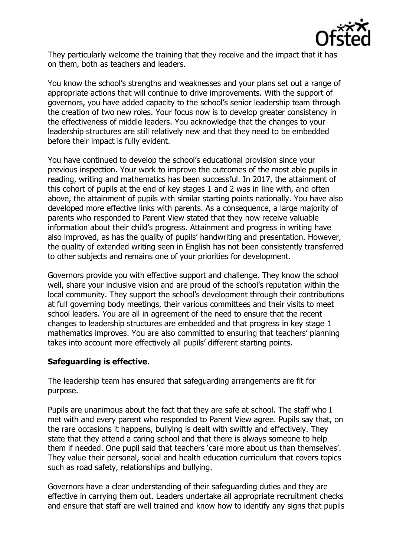

They particularly welcome the training that they receive and the impact that it has on them, both as teachers and leaders.

You know the school's strengths and weaknesses and your plans set out a range of appropriate actions that will continue to drive improvements. With the support of governors, you have added capacity to the school's senior leadership team through the creation of two new roles. Your focus now is to develop greater consistency in the effectiveness of middle leaders. You acknowledge that the changes to your leadership structures are still relatively new and that they need to be embedded before their impact is fully evident.

You have continued to develop the school's educational provision since your previous inspection. Your work to improve the outcomes of the most able pupils in reading, writing and mathematics has been successful. In 2017, the attainment of this cohort of pupils at the end of key stages 1 and 2 was in line with, and often above, the attainment of pupils with similar starting points nationally. You have also developed more effective links with parents. As a consequence, a large majority of parents who responded to Parent View stated that they now receive valuable information about their child's progress. Attainment and progress in writing have also improved, as has the quality of pupils' handwriting and presentation. However, the quality of extended writing seen in English has not been consistently transferred to other subjects and remains one of your priorities for development.

Governors provide you with effective support and challenge. They know the school well, share your inclusive vision and are proud of the school's reputation within the local community. They support the school's development through their contributions at full governing body meetings, their various committees and their visits to meet school leaders. You are all in agreement of the need to ensure that the recent changes to leadership structures are embedded and that progress in key stage 1 mathematics improves. You are also committed to ensuring that teachers' planning takes into account more effectively all pupils' different starting points.

# **Safeguarding is effective.**

The leadership team has ensured that safeguarding arrangements are fit for purpose.

Pupils are unanimous about the fact that they are safe at school. The staff who I met with and every parent who responded to Parent View agree. Pupils say that, on the rare occasions it happens, bullying is dealt with swiftly and effectively. They state that they attend a caring school and that there is always someone to help them if needed. One pupil said that teachers 'care more about us than themselves'. They value their personal, social and health education curriculum that covers topics such as road safety, relationships and bullying.

Governors have a clear understanding of their safeguarding duties and they are effective in carrying them out. Leaders undertake all appropriate recruitment checks and ensure that staff are well trained and know how to identify any signs that pupils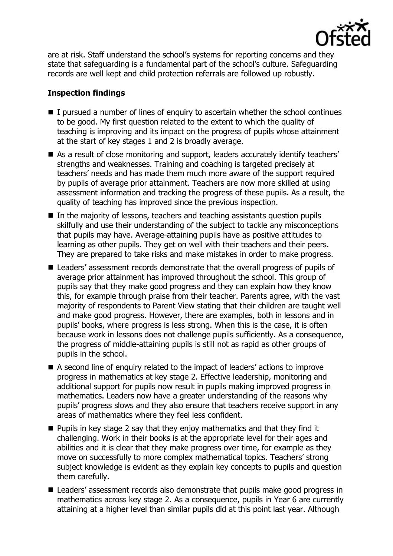

are at risk. Staff understand the school's systems for reporting concerns and they state that safeguarding is a fundamental part of the school's culture. Safeguarding records are well kept and child protection referrals are followed up robustly.

# **Inspection findings**

- $\blacksquare$  I pursued a number of lines of enquiry to ascertain whether the school continues to be good. My first question related to the extent to which the quality of teaching is improving and its impact on the progress of pupils whose attainment at the start of key stages 1 and 2 is broadly average.
- As a result of close monitoring and support, leaders accurately identify teachers' strengths and weaknesses. Training and coaching is targeted precisely at teachers' needs and has made them much more aware of the support required by pupils of average prior attainment. Teachers are now more skilled at using assessment information and tracking the progress of these pupils. As a result, the quality of teaching has improved since the previous inspection.
- In the majority of lessons, teachers and teaching assistants question pupils skilfully and use their understanding of the subject to tackle any misconceptions that pupils may have. Average-attaining pupils have as positive attitudes to learning as other pupils. They get on well with their teachers and their peers. They are prepared to take risks and make mistakes in order to make progress.
- Leaders' assessment records demonstrate that the overall progress of pupils of average prior attainment has improved throughout the school. This group of pupils say that they make good progress and they can explain how they know this, for example through praise from their teacher. Parents agree, with the vast majority of respondents to Parent View stating that their children are taught well and make good progress. However, there are examples, both in lessons and in pupils' books, where progress is less strong. When this is the case, it is often because work in lessons does not challenge pupils sufficiently. As a consequence, the progress of middle-attaining pupils is still not as rapid as other groups of pupils in the school.
- A second line of enquiry related to the impact of leaders' actions to improve progress in mathematics at key stage 2. Effective leadership, monitoring and additional support for pupils now result in pupils making improved progress in mathematics. Leaders now have a greater understanding of the reasons why pupils' progress slows and they also ensure that teachers receive support in any areas of mathematics where they feel less confident.
- $\blacksquare$  Pupils in key stage 2 say that they enjoy mathematics and that they find it challenging. Work in their books is at the appropriate level for their ages and abilities and it is clear that they make progress over time, for example as they move on successfully to more complex mathematical topics. Teachers' strong subject knowledge is evident as they explain key concepts to pupils and question them carefully.
- Leaders' assessment records also demonstrate that pupils make good progress in mathematics across key stage 2. As a consequence, pupils in Year 6 are currently attaining at a higher level than similar pupils did at this point last year. Although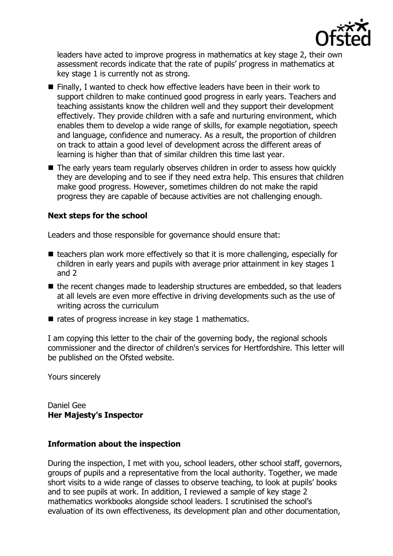

leaders have acted to improve progress in mathematics at key stage 2, their own assessment records indicate that the rate of pupils' progress in mathematics at key stage 1 is currently not as strong.

- Finally, I wanted to check how effective leaders have been in their work to support children to make continued good progress in early years. Teachers and teaching assistants know the children well and they support their development effectively. They provide children with a safe and nurturing environment, which enables them to develop a wide range of skills, for example negotiation, speech and language, confidence and numeracy. As a result, the proportion of children on track to attain a good level of development across the different areas of learning is higher than that of similar children this time last year.
- The early years team regularly observes children in order to assess how quickly they are developing and to see if they need extra help. This ensures that children make good progress. However, sometimes children do not make the rapid progress they are capable of because activities are not challenging enough.

# **Next steps for the school**

Leaders and those responsible for governance should ensure that:

- $\blacksquare$  teachers plan work more effectively so that it is more challenging, especially for children in early years and pupils with average prior attainment in key stages 1 and 2
- $\blacksquare$  the recent changes made to leadership structures are embedded, so that leaders at all levels are even more effective in driving developments such as the use of writing across the curriculum
- $\blacksquare$  rates of progress increase in key stage 1 mathematics.

I am copying this letter to the chair of the governing body, the regional schools commissioner and the director of children's services for Hertfordshire. This letter will be published on the Ofsted website.

Yours sincerely

Daniel Gee **Her Majesty's Inspector**

### **Information about the inspection**

During the inspection, I met with you, school leaders, other school staff, governors, groups of pupils and a representative from the local authority. Together, we made short visits to a wide range of classes to observe teaching, to look at pupils' books and to see pupils at work. In addition, I reviewed a sample of key stage 2 mathematics workbooks alongside school leaders. I scrutinised the school's evaluation of its own effectiveness, its development plan and other documentation,